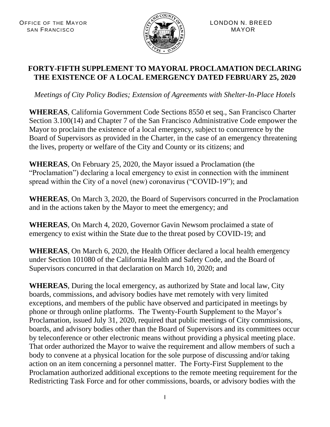

## **FORTY-FIFTH SUPPLEMENT TO MAYORAL PROCLAMATION DECLARING THE EXISTENCE OF A LOCAL EMERGENCY DATED FEBRUARY 25, 2020**

*Meetings of City Policy Bodies; Extension of Agreements with Shelter-In-Place Hotels*

**WHEREAS**, California Government Code Sections 8550 et seq., San Francisco Charter Section 3.100(14) and Chapter 7 of the San Francisco Administrative Code empower the Mayor to proclaim the existence of a local emergency, subject to concurrence by the Board of Supervisors as provided in the Charter, in the case of an emergency threatening the lives, property or welfare of the City and County or its citizens; and

**WHEREAS**, On February 25, 2020, the Mayor issued a Proclamation (the "Proclamation") declaring a local emergency to exist in connection with the imminent spread within the City of a novel (new) coronavirus ("COVID-19"); and

**WHEREAS**, On March 3, 2020, the Board of Supervisors concurred in the Proclamation and in the actions taken by the Mayor to meet the emergency; and

**WHEREAS**, On March 4, 2020, Governor Gavin Newsom proclaimed a state of emergency to exist within the State due to the threat posed by COVID-19; and

**WHEREAS**, On March 6, 2020, the Health Officer declared a local health emergency under Section 101080 of the California Health and Safety Code, and the Board of Supervisors concurred in that declaration on March 10, 2020; and

**WHEREAS**, During the local emergency, as authorized by State and local law, City boards, commissions, and advisory bodies have met remotely with very limited exceptions, and members of the public have observed and participated in meetings by phone or through online platforms. The Twenty-Fourth Supplement to the Mayor's Proclamation, issued July 31, 2020, required that public meetings of City commissions, boards, and advisory bodies other than the Board of Supervisors and its committees occur by teleconference or other electronic means without providing a physical meeting place. That order authorized the Mayor to waive the requirement and allow members of such a body to convene at a physical location for the sole purpose of discussing and/or taking action on an item concerning a personnel matter. The Forty-First Supplement to the Proclamation authorized additional exceptions to the remote meeting requirement for the Redistricting Task Force and for other commissions, boards, or advisory bodies with the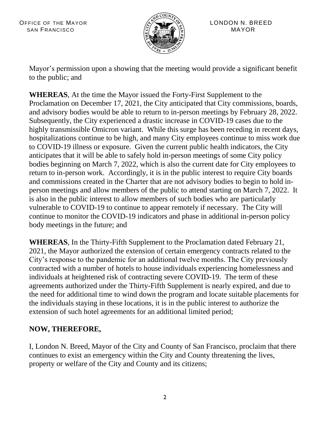

Mayor's permission upon a showing that the meeting would provide a significant benefit to the public; and

**WHEREAS**, At the time the Mayor issued the Forty-First Supplement to the Proclamation on December 17, 2021, the City anticipated that City commissions, boards, and advisory bodies would be able to return to in-person meetings by February 28, 2022. Subsequently, the City experienced a drastic increase in COVID-19 cases due to the highly transmissible Omicron variant. While this surge has been receding in recent days, hospitalizations continue to be high, and many City employees continue to miss work due to COVID-19 illness or exposure. Given the current public health indicators, the City anticipates that it will be able to safely hold in-person meetings of some City policy bodies beginning on March 7, 2022, which is also the current date for City employees to return to in-person work. Accordingly, it is in the public interest to require City boards and commissions created in the Charter that are not advisory bodies to begin to hold inperson meetings and allow members of the public to attend starting on March 7, 2022. It is also in the public interest to allow members of such bodies who are particularly vulnerable to COVID-19 to continue to appear remotely if necessary. The City will continue to monitor the COVID-19 indicators and phase in additional in-person policy body meetings in the future; and

**WHEREAS**, In the Thirty-Fifth Supplement to the Proclamation dated February 21, 2021, the Mayor authorized the extension of certain emergency contracts related to the City's response to the pandemic for an additional twelve months. The City previously contracted with a number of hotels to house individuals experiencing homelessness and individuals at heightened risk of contracting severe COVID-19. The term of these agreements authorized under the Thirty-Fifth Supplement is nearly expired, and due to the need for additional time to wind down the program and locate suitable placements for the individuals staying in these locations, it is in the public interest to authorize the extension of such hotel agreements for an additional limited period;

## **NOW, THEREFORE,**

I, London N. Breed, Mayor of the City and County of San Francisco, proclaim that there continues to exist an emergency within the City and County threatening the lives, property or welfare of the City and County and its citizens;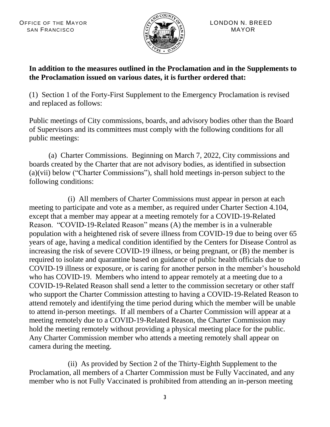

## **In addition to the measures outlined in the Proclamation and in the Supplements to the Proclamation issued on various dates, it is further ordered that:**

(1) Section 1 of the Forty-First Supplement to the Emergency Proclamation is revised and replaced as follows:

Public meetings of City commissions, boards, and advisory bodies other than the Board of Supervisors and its committees must comply with the following conditions for all public meetings:

(a) Charter Commissions. Beginning on March 7, 2022, City commissions and boards created by the Charter that are not advisory bodies, as identified in subsection (a)(vii) below ("Charter Commissions"), shall hold meetings in-person subject to the following conditions:

(i) All members of Charter Commissions must appear in person at each meeting to participate and vote as a member, as required under Charter Section 4.104, except that a member may appear at a meeting remotely for a COVID-19-Related Reason. "COVID-19-Related Reason" means (A) the member is in a vulnerable population with a heightened risk of severe illness from COVID-19 due to being over 65 years of age, having a medical condition identified by the Centers for Disease Control as increasing the risk of severe COVID-19 illness, or being pregnant, or (B) the member is required to isolate and quarantine based on guidance of public health officials due to COVID-19 illness or exposure, or is caring for another person in the member's household who has COVID-19. Members who intend to appear remotely at a meeting due to a COVID-19-Related Reason shall send a letter to the commission secretary or other staff who support the Charter Commission attesting to having a COVID-19-Related Reason to attend remotely and identifying the time period during which the member will be unable to attend in-person meetings. If all members of a Charter Commission will appear at a meeting remotely due to a COVID-19-Related Reason, the Charter Commission may hold the meeting remotely without providing a physical meeting place for the public. Any Charter Commission member who attends a meeting remotely shall appear on camera during the meeting.

(ii) As provided by Section 2 of the Thirty-Eighth Supplement to the Proclamation, all members of a Charter Commission must be Fully Vaccinated, and any member who is not Fully Vaccinated is prohibited from attending an in-person meeting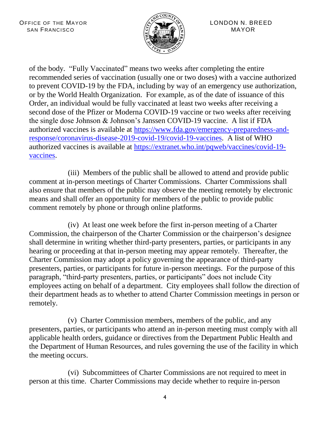

of the body. "Fully Vaccinated" means two weeks after completing the entire recommended series of vaccination (usually one or two doses) with a vaccine authorized to prevent COVID-19 by the FDA, including by way of an emergency use authorization, or by the World Health Organization. For example, as of the date of issuance of this Order, an individual would be fully vaccinated at least two weeks after receiving a second dose of the Pfizer or Moderna COVID-19 vaccine or two weeks after receiving the single dose Johnson & Johnson's Janssen COVID-19 vaccine. A list if FDA authorized vaccines is available at [https://www.fda.gov/emergency-preparedness-and](https://www.fda.gov/emergency-preparedness-and-response/coronavirus-disease-2019-covid-19/covid-19-vaccines)[response/coronavirus-disease-2019-covid-19/covid-19-vaccines.](https://www.fda.gov/emergency-preparedness-and-response/coronavirus-disease-2019-covid-19/covid-19-vaccines) A list of WHO authorized vaccines is available at [https://extranet.who.int/pqweb/vaccines/covid-19](https://extranet.who.int/pqweb/vaccines/covid-19-vaccines) [vaccines.](https://extranet.who.int/pqweb/vaccines/covid-19-vaccines)

(iii) Members of the public shall be allowed to attend and provide public comment at in-person meetings of Charter Commissions. Charter Commissions shall also ensure that members of the public may observe the meeting remotely by electronic means and shall offer an opportunity for members of the public to provide public comment remotely by phone or through online platforms.

(iv) At least one week before the first in-person meeting of a Charter Commission, the chairperson of the Charter Commission or the chairperson's designee shall determine in writing whether third-party presenters, parties, or participants in any hearing or proceeding at that in-person meeting may appear remotely. Thereafter, the Charter Commission may adopt a policy governing the appearance of third-party presenters, parties, or participants for future in-person meetings. For the purpose of this paragraph, "third-party presenters, parties, or participants" does not include City employees acting on behalf of a department. City employees shall follow the direction of their department heads as to whether to attend Charter Commission meetings in person or remotely.

(v) Charter Commission members, members of the public, and any presenters, parties, or participants who attend an in-person meeting must comply with all applicable health orders, guidance or directives from the Department Public Health and the Department of Human Resources, and rules governing the use of the facility in which the meeting occurs.

(vi) Subcommittees of Charter Commissions are not required to meet in person at this time. Charter Commissions may decide whether to require in-person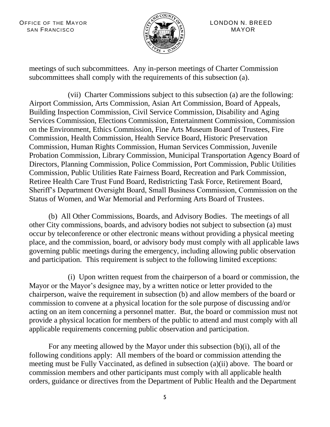OFFICE OF THE MAYOR  $\langle A \rangle$   $\langle A \rangle$  LONDON N. BREED SAN FRANCISCO (3)  $\sqrt{3}$  (3) MAYOR



meetings of such subcommittees. Any in-person meetings of Charter Commission subcommittees shall comply with the requirements of this subsection (a).

(vii) Charter Commissions subject to this subsection (a) are the following: Airport Commission, Arts Commission, Asian Art Commission, Board of Appeals, Building Inspection Commission, Civil Service Commission, Disability and Aging Services Commission, Elections Commission, Entertainment Commission, Commission on the Environment, Ethics Commission, Fine Arts Museum Board of Trustees, Fire Commission, Health Commission, Health Service Board, Historic Preservation Commission, Human Rights Commission, Human Services Commission, Juvenile Probation Commission, Library Commission, Municipal Transportation Agency Board of Directors, Planning Commission, Police Commission, Port Commission, Public Utilities Commission, Public Utilities Rate Fairness Board, Recreation and Park Commission, Retiree Health Care Trust Fund Board, Redistricting Task Force, Retirement Board, Sheriff's Department Oversight Board, Small Business Commission, Commission on the Status of Women, and War Memorial and Performing Arts Board of Trustees.

(b) All Other Commissions, Boards, and Advisory Bodies. The meetings of all other City commissions, boards, and advisory bodies not subject to subsection (a) must occur by teleconference or other electronic means without providing a physical meeting place, and the commission, board, or advisory body must comply with all applicable laws governing public meetings during the emergency, including allowing public observation and participation. This requirement is subject to the following limited exceptions:

(i) Upon written request from the chairperson of a board or commission, the Mayor or the Mayor's designee may, by a written notice or letter provided to the chairperson, waive the requirement in subsection (b) and allow members of the board or commission to convene at a physical location for the sole purpose of discussing and/or acting on an item concerning a personnel matter. But, the board or commission must not provide a physical location for members of the public to attend and must comply with all applicable requirements concerning public observation and participation.

For any meeting allowed by the Mayor under this subsection (b)(i), all of the following conditions apply: All members of the board or commission attending the meeting must be Fully Vaccinated, as defined in subsection (a)(ii) above. The board or commission members and other participants must comply with all applicable health orders, guidance or directives from the Department of Public Health and the Department

5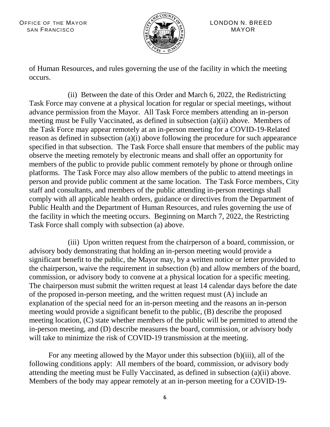OFFICE OF THE MAYOR  $\langle A \rangle$   $\langle A \rangle$  LONDON N. BREED SAN FRANCISCO  $\begin{bmatrix} \tilde{c} & \tilde{s} & \tilde{s} \\ \tilde{s} & \tilde{s} & \tilde{s} \end{bmatrix}$  MAYOR



of Human Resources, and rules governing the use of the facility in which the meeting occurs.

(ii) Between the date of this Order and March 6, 2022, the Redistricting Task Force may convene at a physical location for regular or special meetings, without advance permission from the Mayor. All Task Force members attending an in-person meeting must be Fully Vaccinated, as defined in subsection (a)(ii) above. Members of the Task Force may appear remotely at an in-person meeting for a COVID-19-Related reason as defined in subsection (a)(i) above following the procedure for such appearance specified in that subsection. The Task Force shall ensure that members of the public may observe the meeting remotely by electronic means and shall offer an opportunity for members of the public to provide public comment remotely by phone or through online platforms. The Task Force may also allow members of the public to attend meetings in person and provide public comment at the same location. The Task Force members, City staff and consultants, and members of the public attending in-person meetings shall comply with all applicable health orders, guidance or directives from the Department of Public Health and the Department of Human Resources, and rules governing the use of the facility in which the meeting occurs. Beginning on March 7, 2022, the Restricting Task Force shall comply with subsection (a) above.

(iii) Upon written request from the chairperson of a board, commission, or advisory body demonstrating that holding an in-person meeting would provide a significant benefit to the public, the Mayor may, by a written notice or letter provided to the chairperson, waive the requirement in subsection (b) and allow members of the board, commission, or advisory body to convene at a physical location for a specific meeting. The chairperson must submit the written request at least 14 calendar days before the date of the proposed in-person meeting, and the written request must (A) include an explanation of the special need for an in-person meeting and the reasons an in-person meeting would provide a significant benefit to the public, (B) describe the proposed meeting location, (C) state whether members of the public will be permitted to attend the in-person meeting, and (D) describe measures the board, commission, or advisory body will take to minimize the risk of COVID-19 transmission at the meeting.

For any meeting allowed by the Mayor under this subsection (b)(iii), all of the following conditions apply: All members of the board, commission, or advisory body attending the meeting must be Fully Vaccinated, as defined in subsection (a)(ii) above. Members of the body may appear remotely at an in-person meeting for a COVID-19-